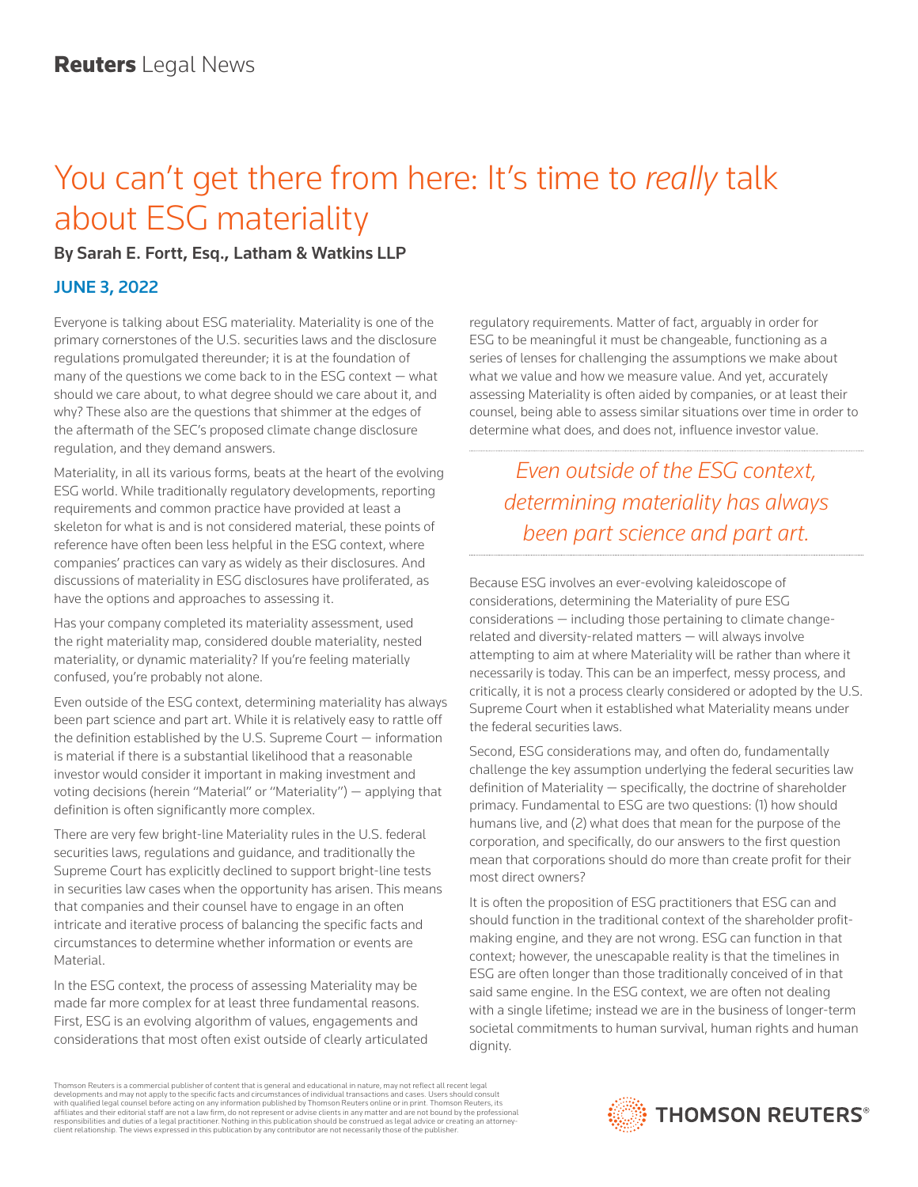## You can't get there from here: It's time to *really* talk about ESG materiality

## By Sarah E. Fortt, Esq., Latham & Watkins LLP

## JUNE 3, 2022

Everyone is talking about ESG materiality. Materiality is one of the primary cornerstones of the U.S. securities laws and the disclosure regulations promulgated thereunder; it is at the foundation of many of the questions we come back to in the ESG context  $-$  what should we care about, to what degree should we care about it, and why? These also are the questions that shimmer at the edges of the aftermath of the SEC's proposed climate change disclosure regulation, and they demand answers.

Materiality, in all its various forms, beats at the heart of the evolving ESG world. While traditionally regulatory developments, reporting requirements and common practice have provided at least a skeleton for what is and is not considered material, these points of reference have often been less helpful in the ESG context, where companies' practices can vary as widely as their disclosures. And discussions of materiality in ESG disclosures have proliferated, as have the options and approaches to assessing it.

Has your company completed its materiality assessment, used the right materiality map, considered double materiality, nested materiality, or dynamic materiality? If you're feeling materially confused, you're probably not alone.

Even outside of the ESG context, determining materiality has always been part science and part art. While it is relatively easy to rattle off the definition established by the U.S. Supreme Court — information is material if there is a substantial likelihood that a reasonable investor would consider it important in making investment and voting decisions (herein "Material" or "Materiality") — applying that definition is often significantly more complex.

There are very few bright-line Materiality rules in the U.S. federal securities laws, regulations and guidance, and traditionally the Supreme Court has explicitly declined to support bright-line tests in securities law cases when the opportunity has arisen. This means that companies and their counsel have to engage in an often intricate and iterative process of balancing the specific facts and circumstances to determine whether information or events are Material.

In the ESG context, the process of assessing Materiality may be made far more complex for at least three fundamental reasons. First, ESG is an evolving algorithm of values, engagements and considerations that most often exist outside of clearly articulated regulatory requirements. Matter of fact, arguably in order for ESG to be meaningful it must be changeable, functioning as a series of lenses for challenging the assumptions we make about what we value and how we measure value. And yet, accurately assessing Materiality is often aided by companies, or at least their counsel, being able to assess similar situations over time in order to determine what does, and does not, influence investor value.

*Even outside of the ESG context, determining materiality has always been part science and part art.* 

Because ESG involves an ever-evolving kaleidoscope of considerations, determining the Materiality of pure ESG considerations — including those pertaining to climate changerelated and diversity-related matters — will always involve attempting to aim at where Materiality will be rather than where it necessarily is today. This can be an imperfect, messy process, and critically, it is not a process clearly considered or adopted by the U.S. Supreme Court when it established what Materiality means under the federal securities laws.

Second, ESG considerations may, and often do, fundamentally challenge the key assumption underlying the federal securities law definition of Materiality — specifically, the doctrine of shareholder primacy. Fundamental to ESG are two questions: (1) how should humans live, and (2) what does that mean for the purpose of the corporation, and specifically, do our answers to the first question mean that corporations should do more than create profit for their most direct owners?

It is often the proposition of ESG practitioners that ESG can and should function in the traditional context of the shareholder profitmaking engine, and they are not wrong. ESG can function in that context; however, the unescapable reality is that the timelines in ESG are often longer than those traditionally conceived of in that said same engine. In the ESG context, we are often not dealing with a single lifetime; instead we are in the business of longer-term societal commitments to human survival, human rights and human dignity.

Thomson Reuters is a commercial publisher of content that is general and educational in nature, may not reflect all recent legal developments and may not apply to the specific facts and circumstances of individual transactions and cases. Users should consult<br>with qualified legal counsel before acting on any information published by Thomson Reuters o responsibilities and duties of a legal practitioner. Nothing in this publication should be construed as legal advice or creating an attorneyclient relationship. The views expressed in this publication by any contributor are not necessarily those of the publisher.

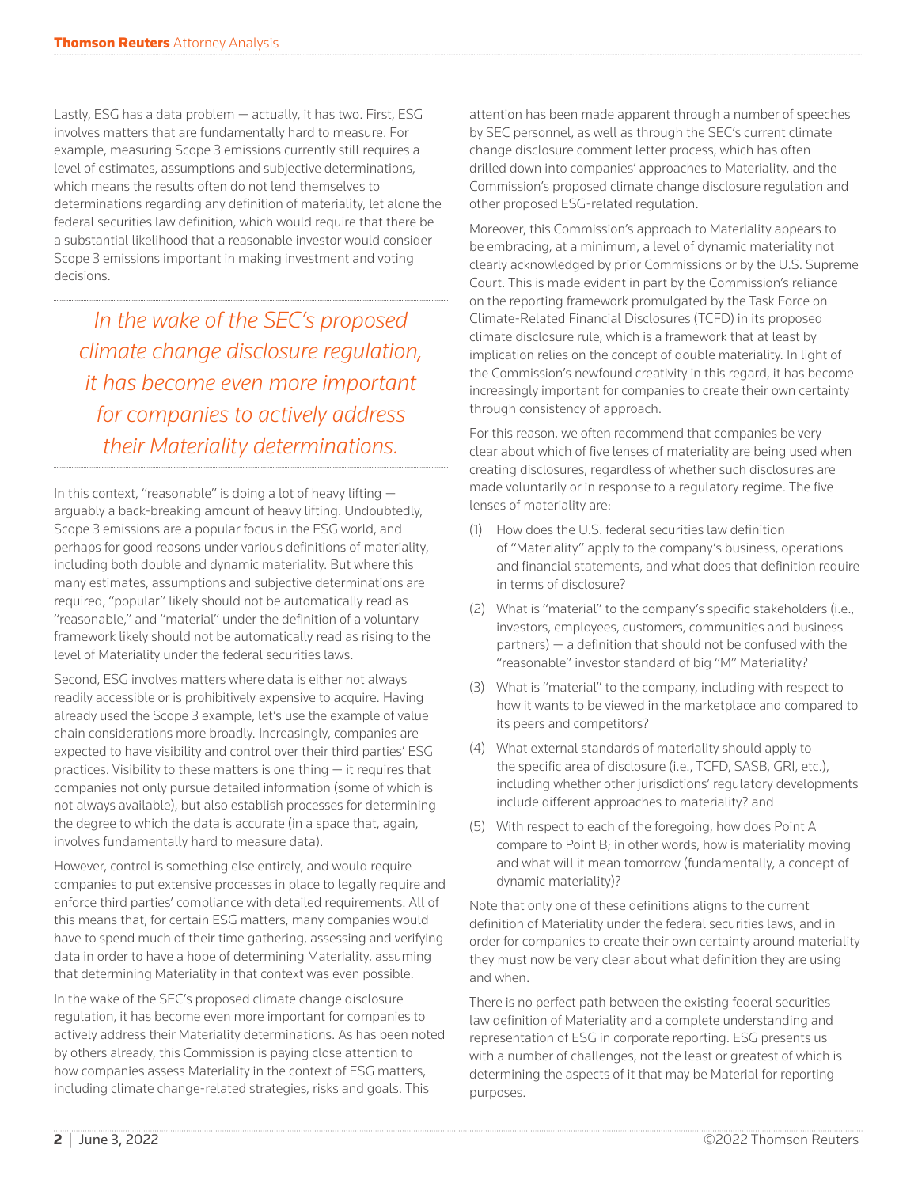Lastly, ESG has a data problem — actually, it has two. First, ESG involves matters that are fundamentally hard to measure. For example, measuring Scope 3 emissions currently still requires a level of estimates, assumptions and subjective determinations, which means the results often do not lend themselves to determinations regarding any definition of materiality, let alone the federal securities law definition, which would require that there be a substantial likelihood that a reasonable investor would consider Scope 3 emissions important in making investment and voting decisions.

*In the wake of the SEC's proposed climate change disclosure regulation, it has become even more important for companies to actively address their Materiality determinations.* 

In this context, "reasonable" is doing a lot of heavy lifting arguably a back-breaking amount of heavy lifting. Undoubtedly, Scope 3 emissions are a popular focus in the ESG world, and perhaps for good reasons under various definitions of materiality, including both double and dynamic materiality. But where this many estimates, assumptions and subjective determinations are required, "popular" likely should not be automatically read as "reasonable," and "material" under the definition of a voluntary framework likely should not be automatically read as rising to the level of Materiality under the federal securities laws.

Second, ESG involves matters where data is either not always readily accessible or is prohibitively expensive to acquire. Having already used the Scope 3 example, let's use the example of value chain considerations more broadly. Increasingly, companies are expected to have visibility and control over their third parties' ESG practices. Visibility to these matters is one thing — it requires that companies not only pursue detailed information (some of which is not always available), but also establish processes for determining the degree to which the data is accurate (in a space that, again, involves fundamentally hard to measure data).

However, control is something else entirely, and would require companies to put extensive processes in place to legally require and enforce third parties' compliance with detailed requirements. All of this means that, for certain ESG matters, many companies would have to spend much of their time gathering, assessing and verifying data in order to have a hope of determining Materiality, assuming that determining Materiality in that context was even possible.

In the wake of the SEC's proposed climate change disclosure regulation, it has become even more important for companies to actively address their Materiality determinations. As has been noted by others already, this Commission is paying close attention to how companies assess Materiality in the context of ESG matters, including climate change-related strategies, risks and goals. This

attention has been made apparent through a number of speeches by SEC personnel, as well as through the SEC's current climate change disclosure comment letter process, which has often drilled down into companies' approaches to Materiality, and the Commission's proposed climate change disclosure regulation and other proposed ESG-related regulation.

Moreover, this Commission's approach to Materiality appears to be embracing, at a minimum, a level of dynamic materiality not clearly acknowledged by prior Commissions or by the U.S. Supreme Court. This is made evident in part by the Commission's reliance on the reporting framework promulgated by the Task Force on Climate-Related Financial Disclosures (TCFD) in its proposed climate disclosure rule, which is a framework that at least by implication relies on the concept of double materiality. In light of the Commission's newfound creativity in this regard, it has become increasingly important for companies to create their own certainty through consistency of approach.

For this reason, we often recommend that companies be very clear about which of five lenses of materiality are being used when creating disclosures, regardless of whether such disclosures are made voluntarily or in response to a regulatory regime. The five lenses of materiality are:

- (1) How does the U.S. federal securities law definition of "Materiality" apply to the company's business, operations and financial statements, and what does that definition require in terms of disclosure?
- (2) What is "material" to the company's specific stakeholders (i.e., investors, employees, customers, communities and business partners) — a definition that should not be confused with the "reasonable" investor standard of big "M" Materiality?
- (3) What is "material" to the company, including with respect to how it wants to be viewed in the marketplace and compared to its peers and competitors?
- (4) What external standards of materiality should apply to the specific area of disclosure (i.e., TCFD, SASB, GRI, etc.), including whether other jurisdictions' regulatory developments include different approaches to materiality? and
- (5) With respect to each of the foregoing, how does Point A compare to Point B; in other words, how is materiality moving and what will it mean tomorrow (fundamentally, a concept of dynamic materiality)?

Note that only one of these definitions aligns to the current definition of Materiality under the federal securities laws, and in order for companies to create their own certainty around materiality they must now be very clear about what definition they are using and when.

There is no perfect path between the existing federal securities law definition of Materiality and a complete understanding and representation of ESG in corporate reporting. ESG presents us with a number of challenges, not the least or greatest of which is determining the aspects of it that may be Material for reporting purposes.